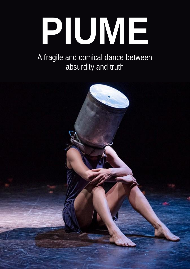# **PIUME**

#### A fragile and comical dance between absurdity and truth

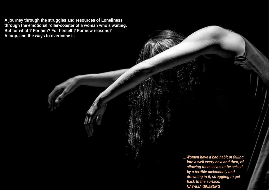**A journey through the struggles and resources of Loneliness, through the emotional roller-coaster of a woman who's waiting. But for what ? For him? For herself ? For new reasons? A loop, and the ways to overcome it.**

> *…Women have a bad habit of falling into a well every now and then, of allowing themselves to be seized by a terrible melancholy and drowning in it, struggling to get back to the surface. NATALIA GINZBURG*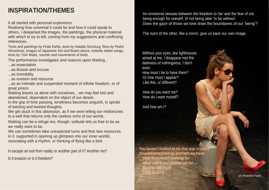#### **INSPIRATION/THEMES**

It all started with personal experience.

Realising how universal it could be and how it could speak to others, I deepened the images, the paintings, the physical material with which to try to tell, coming from my suggestions and conflicting references.

Texts and paintings by Frida Kahlo, texts by Natalia Ginzburg, films by Pedro Almodovar, images of Japanese Zen and Butoh dance, melodic Italian songs, texts by Tom Waits, sounds and movements of birds.

The performance investigates and reasons upon Waiting...

- ...as expectation
- ...as illusion and excuse
- ...as immobility
- ...as evasion and resource

...as an intimate and suspended moment of infinite freedom, or of great prison.

Waiting leaves us alone with ourselves... we may feel lost and abandoned, dependent on the object of our desire.

In the grip of time passing, loneliness becomes anguish, in spirals of twisting and twisted thoughts.

How do you want me? How do I want myself?

We get stuck in this obsession, as if we were telling our misfortunes to a well that returns only the useless echo of our words.

Waiting can be a refuge too, though: solitude lets us free to be as we really want to be.

We can sometimes take unexpected turns and find new resources in it, supported in opening up glimpses into our inner worlds, resonating with a rhythm, or thinking of flying like a bird.

An emotional seesaw between the freedom to 'be' and the fear of not being enough for oneself, of not being able 'to be without'. Does the gaze of those we love draw the boundaries of our 'being'?

The eyes of the other, like a mirror, give us back our own image.

Without your eyes, like lighthouses aimed at me, I disappear into the darkness of nothingness, I don't exist.

How must I be to have them? Or how must I appear? Like this, or different?

And how am I?

Is escape an exit from reality or another part of it? Another me?

Is it evasion or is it freedom?

*You haven't looked at me that way in years Youdreamedme upandleft mehere How long was I waiting for What was it you wanted me for… But I'm stillhere TOM WAITS*

ph:AlexandroTripodi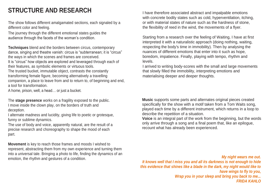## **STRUCTURE AND RESEARCH**

The show follows different amalgamated sections, each signaled by a different color and feeling.

The journey through the different emotional states guides the audience through the facets of the woman's condition.

**Techniques** blend and the borders between circus, contemporary dance, singing and theatre vanish: circus is "subterranean; it is "circus" the ways in which the scenes and frames are conceived. It is "circus" how objects are explored and leveraged through each of their features, as symbolic elements or virtuous tools. The trusted bucket, immutable object, contrasts the constantly transforming female figure, becoming alternatively a travelling companion, a place to leave from and to return to, of beginning and end, a tool for transformation.

A home, prison, well, a head… or just a bucket.

The **stage presence** works on a fragility exposed to the public. I move inside the clown play, on the borders of truth and deception.

I alternate madness and lucidity, giving life to poetic or grotesque, funny or sublime dynamics.

The use of body and voice, apparently natural, are the result of a precise research and choreography to shape the mood of each part.

**Movement** is key to reach those frames and moods I wished to represent, abstracting them from my own experience and turning them into a universal tale. Bringing a photo to life, finding the dynamics of an emotion, the rhythm and gestures of a condition.

I have therefore associated abstract and impalpable emotions with concrete bodily states such as cold, hyperventilation, itching, or with material states of nature such as the hardness of stone, the flexibility of reed in the wind, the movements of a flyer.

Starting from a research over the feeling of Waiting, I have at first interpreted it with a naturalistic approach (doing nothing, waiting, respecting the body's time in immobility). Then by analysing the nuances of different emotions that enter into it such as hope, boredom, impatience. Finally, playing with tempo, rhythm and levels.

I arrived to writing body-scores with the small and large movements that slowly filled the immobility, interpreting emotions and materialising deeper and deeper thoughts.

**Music** supports some parts and alternates original pieces created specifically for the show with a motif taken from a Tom Waits song, played each time by a different instrument, which returns in a loop to describe the repetition of a situation. **Voice** is an integral part of the work from the beginning, but the words only arrive through a song and a final poem that, like an epilogue, recount what has already been experienced.

*My night wears me out. It knows well that I miss you and all its darkness is not enough to hide this evidence that shines like a blade in the dark, my night would like to have wings to fly to you, Wrap you in your sleep and bring you back to me... FRIDA KAHLO*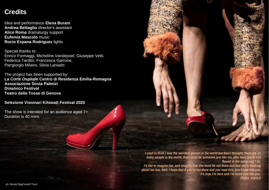#### **Credits**

Idea and performance **Elena Burani Andrea Bettaglio** director's assistant **Alice Roma** dramaturgy support **Eufemia Mascolo** music **Rocio Espana Rodriguez** lights

Special thanks to: Enrico Formaggi, Micheline Vandepoel, Giuseppe Vetti, Federica Tardito, Francesca Garrone, Piergiorgio Milano, Silvia Laniado

The project has been supported by: **La Corte Ospitale Centro di Residenza Emilia-Romagna Associazione Sosta Palmizi Dinamico Festival Teatro della Tosse di Genova**

**Selezione Visionari Kilowatt Festival 2020**

The show is intended for an audience aged 7+ Duration is 40 mins

*I used to think I was the weirdest person in the world but then I thought, there are so I'd like to imagine her, and imagine that she must be out there and that she's thinking about me too. Well, I hope that if you're out there and you read this, you know that yes,* 

*many people in the world, there must be someone just like me, who feels weird and flawed in the same way I do. it's true, I'm here and I'm weird just like you. FRIDA KAHLO*